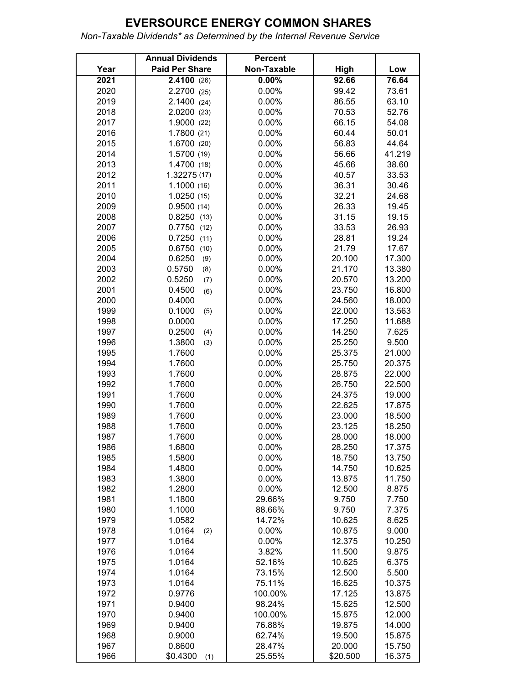## **EVERSOURCE ENERGY COMMON SHARES**

 *Non-Taxable Dividends\* as Determined by the Internal Revenue Service*

|              | <b>Annual Dividends</b> | <b>Percent</b>   |                  |                  |
|--------------|-------------------------|------------------|------------------|------------------|
| Year         | <b>Paid Per Share</b>   | Non-Taxable      | High             | Low              |
| 2021         | 2.4100(26)              | 0.00%            | 92.66            | 76.64            |
| 2020         | 2.2700 (25)             | 0.00%            | 99.42            | 73.61            |
| 2019         | 2.1400(24)              | 0.00%            | 86.55            | 63.10            |
| 2018         | 2.0200(23)              | 0.00%            | 70.53            | 52.76            |
| 2017         | 1.9000 (22)             | 0.00%            | 66.15            | 54.08            |
| 2016         | 1.7800(21)              | 0.00%            | 60.44            | 50.01            |
| 2015         | 1.6700 (20)             | 0.00%            | 56.83            | 44.64            |
| 2014         | 1.5700 (19)             | 0.00%            | 56.66            | 41.219           |
| 2013         | 1.4700 (18)             | 0.00%            | 45.66            | 38.60            |
| 2012         | 1.32275 (17)            | 0.00%            | 40.57            | 33.53            |
| 2011         | 1.1000(16)              | 0.00%            | 36.31            | 30.46            |
| 2010         | 1.0250(15)              | 0.00%            | 32.21            | 24.68            |
| 2009         | 0.9500(14)              | 0.00%            | 26.33            | 19.45            |
| 2008         | 0.8250(13)              | 0.00%            | 31.15            | 19.15            |
| 2007         | 0.7750(12)              | 0.00%            | 33.53            | 26.93            |
| 2006         | 0.7250(11)              | 0.00%            | 28.81            | 19.24            |
| 2005         | 0.6750(10)              | 0.00%            | 21.79            | 17.67            |
| 2004         | 0.6250<br>(9)           | 0.00%            | 20.100           | 17.300           |
| 2003         | 0.5750<br>(8)           | 0.00%            | 21.170           | 13.380           |
| 2002         | 0.5250<br>(7)           | 0.00%            | 20.570           | 13.200           |
| 2001         | 0.4500<br>(6)           | 0.00%            | 23.750           | 16.800           |
| 2000         | 0.4000                  | 0.00%            | 24.560           | 18.000           |
| 1999         | 0.1000<br>(5)           | 0.00%            | 22.000           | 13.563           |
| 1998         | 0.0000                  | 0.00%            | 17.250           | 11.688           |
| 1997         | 0.2500<br>(4)           | 0.00%            | 14.250           | 7.625            |
| 1996         | 1.3800<br>(3)           | 0.00%            | 25.250           | 9.500            |
| 1995         | 1.7600                  | 0.00%            | 25.375           | 21.000           |
| 1994         | 1.7600                  | 0.00%            | 25.750           | 20.375           |
| 1993         | 1.7600                  | 0.00%            | 28.875           | 22.000           |
| 1992         | 1.7600                  | 0.00%            | 26.750           | 22.500           |
| 1991         | 1.7600                  | 0.00%            | 24.375           | 19.000           |
| 1990         | 1.7600                  | 0.00%            | 22.625           | 17.875           |
| 1989         | 1.7600                  | 0.00%            | 23.000           | 18.500           |
| 1988         | 1.7600                  | 0.00%            | 23.125           | 18.250           |
| 1987         | 1.7600                  | 0.00%            | 28.000           | 18.000           |
| 1986         | 1.6800                  | 0.00%            | 28.250           | 17.375           |
| 1985         | 1.5800                  | 0.00%            | 18.750           | 13.750           |
| 1984         | 1.4800                  | 0.00%            | 14.750           | 10.625           |
| 1983         | 1.3800                  | 0.00%            | 13.875           | 11.750           |
| 1982         | 1.2800                  | 0.00%            | 12.500           | 8.875            |
| 1981         | 1.1800                  | 29.66%           | 9.750            | 7.750            |
| 1980         | 1.1000                  | 88.66%           | 9.750            | 7.375            |
| 1979         | 1.0582                  | 14.72%           | 10.625           | 8.625            |
| 1978         | 1.0164<br>(2)           | 0.00%            | 10.875           | 9.000            |
| 1977         | 1.0164                  | 0.00%            | 12.375           | 10.250           |
| 1976         | 1.0164                  | 3.82%            | 11.500           | 9.875            |
| 1975         | 1.0164                  | 52.16%           | 10.625           | 6.375            |
| 1974         | 1.0164                  | 73.15%           | 12.500           | 5.500            |
| 1973         | 1.0164                  | 75.11%           | 16.625           | 10.375           |
| 1972         | 0.9776                  | 100.00%          | 17.125           | 13.875           |
| 1971         | 0.9400                  | 98.24%           | 15.625           | 12.500           |
| 1970         | 0.9400                  | 100.00%          | 15.875           | 12.000           |
| 1969         | 0.9400                  | 76.88%           | 19.875           | 14.000           |
| 1968<br>1967 | 0.9000<br>0.8600        | 62.74%<br>28.47% | 19.500<br>20.000 | 15.875<br>15.750 |
| 1966         | \$0.4300<br>(1)         | 25.55%           | \$20.500         | 16.375           |
|              |                         |                  |                  |                  |